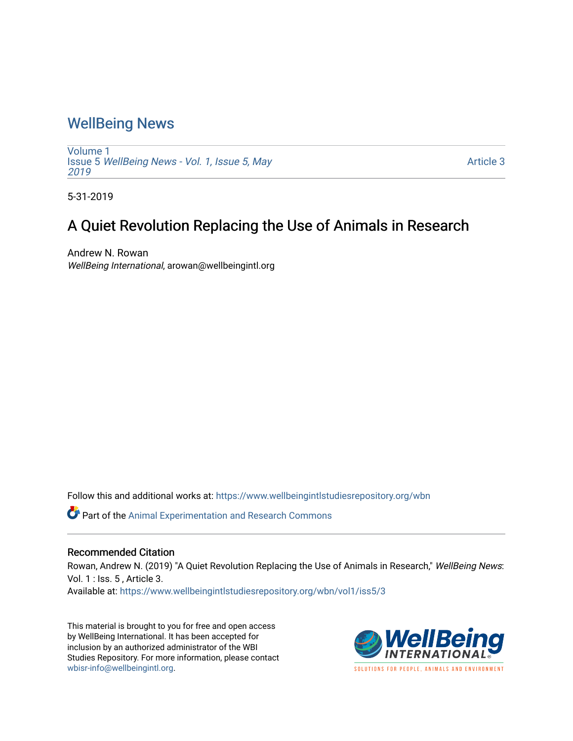## [WellBeing News](https://www.wellbeingintlstudiesrepository.org/wbn)

[Volume 1](https://www.wellbeingintlstudiesrepository.org/wbn/vol1) Issue 5 [WellBeing News - Vol. 1, Issue 5, May](https://www.wellbeingintlstudiesrepository.org/wbn/vol1/iss5) [2019](https://www.wellbeingintlstudiesrepository.org/wbn/vol1/iss5) 

[Article 3](https://www.wellbeingintlstudiesrepository.org/wbn/vol1/iss5/3) 

5-31-2019

## A Quiet Revolution Replacing the Use of Animals in Research

Andrew N. Rowan WellBeing International, arowan@wellbeingintl.org

Follow this and additional works at: [https://www.wellbeingintlstudiesrepository.org/wbn](https://www.wellbeingintlstudiesrepository.org/wbn?utm_source=www.wellbeingintlstudiesrepository.org%2Fwbn%2Fvol1%2Fiss5%2F3&utm_medium=PDF&utm_campaign=PDFCoverPages)

Part of the [Animal Experimentation and Research Commons](http://network.bepress.com/hgg/discipline/1390?utm_source=www.wellbeingintlstudiesrepository.org%2Fwbn%2Fvol1%2Fiss5%2F3&utm_medium=PDF&utm_campaign=PDFCoverPages) 

## Recommended Citation

Rowan, Andrew N. (2019) "A Quiet Revolution Replacing the Use of Animals in Research," WellBeing News: Vol. 1 : Iss. 5 , Article 3.

Available at: [https://www.wellbeingintlstudiesrepository.org/wbn/vol1/iss5/3](https://www.wellbeingintlstudiesrepository.org/wbn/vol1/iss5/3?utm_source=www.wellbeingintlstudiesrepository.org%2Fwbn%2Fvol1%2Fiss5%2F3&utm_medium=PDF&utm_campaign=PDFCoverPages)

This material is brought to you for free and open access by WellBeing International. It has been accepted for inclusion by an authorized administrator of the WBI Studies Repository. For more information, please contact [wbisr-info@wellbeingintl.org](mailto:wbisr-info@wellbeingintl.org).

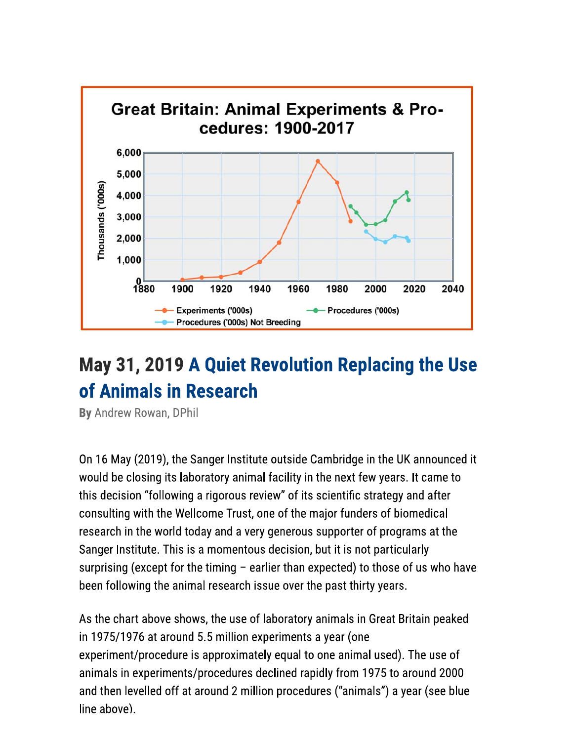

## May 31, 2019 A Quiet Revolution Replacing the Use of Animals in Research

By Andrew Rowan, DPhil

On 16 May (2019), the Sanger Institute outside Cambridge in the UK announced it would be closing its laboratory animal facility in the next few years. It came to this decision "following a rigorous review" of its scientific strategy and after consulting with the Wellcome Trust, one of the major funders of biomedical research in the world today and a very generous supporter of programs at the Sanger Institute. This is a momentous decision, but it is not particularly surprising (except for the timing - earlier than expected) to those of us who have been following the animal research issue over the past thirty years.

As the chart above shows, the use of laboratory animals in Great Britain peaked in 1975/1976 at around 5.5 million experiments a year (one experiment/procedure is approximately equal to one animal used). The use of animals in experiments/procedures declined rapidly from 1975 to around 2000 and then levelled off at around 2 million procedures ("animals") a year (see blue  $line$  above).